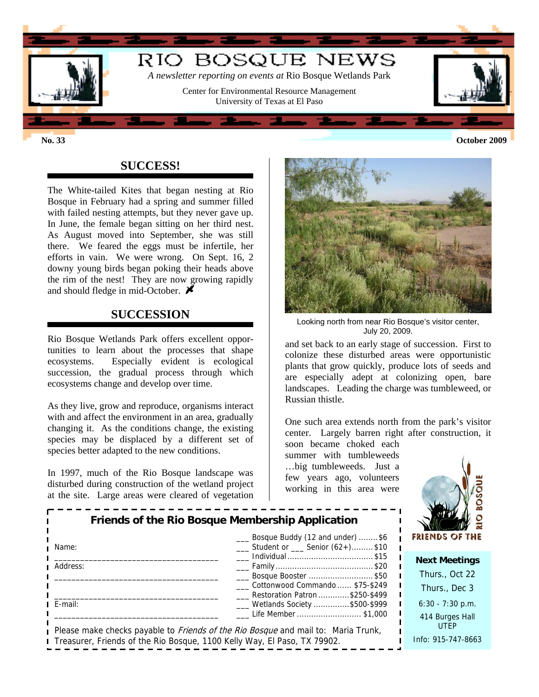

**No. 33 October 2009**

# **SUCCESS!**

The White-tailed Kites that began nesting at Rio Bosque in February had a spring and summer filled with failed nesting attempts, but they never gave up. In June, the female began sitting on her third nest. As August moved into September, she was still there. We feared the eggs must be infertile, her efforts in vain. We were wrong. On Sept. 16, 2 downy young birds began poking their heads above the rim of the nest! They are now growing rapidly and should fledge in mid-October.  $\blacktriangleright$ 

### **SUCCESSION**

Rio Bosque Wetlands Park offers excellent opportunities to learn about the processes that shape ecosystems. Especially evident is ecological succession, the gradual process through which ecosystems change and develop over time.

As they live, grow and reproduce, organisms interact with and affect the environment in an area, gradually changing it. As the conditions change, the existing species may be displaced by a different set of species better adapted to the new conditions.

In 1997, much of the Rio Bosque landscape was disturbed during construction of the wetland project at the site. Large areas were cleared of vegetation



Looking north from near Rio Bosque's visitor center, July 20, 2009.

and set back to an early stage of succession. First to colonize these disturbed areas were opportunistic plants that grow quickly, produce lots of seeds and are especially adept at colonizing open, bare landscapes. Leading the charge was tumbleweed, or Russian thistle.

One such area extends north from the park's visitor center. Largely barren right after construction, it

soon became choked each summer with tumbleweeds …big tumbleweeds. Just a few years ago, volunteers working in this area were



|          | <b>Friends of the Rio Bosque Membership Application</b>                                  |             |
|----------|------------------------------------------------------------------------------------------|-------------|
| Name:    | Bosque Buddy (12 and under) \$6<br>Student or Senior (62+)\$10                           | FRIEN       |
|          | Individual \$15                                                                          | <b>Next</b> |
| Address: |                                                                                          |             |
|          | __ Bosque Booster \$50                                                                   | Thu         |
|          | Cottonwood Commando  \$75-\$249                                                          | Thu         |
|          | Restoration Patron \$250-\$499                                                           |             |
| E-mail:  | ___ Wetlands Society \$500-\$999                                                         | 6:30        |
|          | Life Member  \$1,000                                                                     | 414         |
|          | Please make checks payable to <i>Friends of the Rio Bosque</i> and mail to: Maria Trunk, |             |
|          |                                                                                          | Info:       |
|          | Treasurer, Friends of the Rio Bosque, 1100 Kelly Way, El Paso, TX 79902.                 |             |

**t Meetings** Irs., Oct 22 urs., Dec 3  $-7:30$  p.m. **Burges Hall** UTEP Info: 915-747-8663